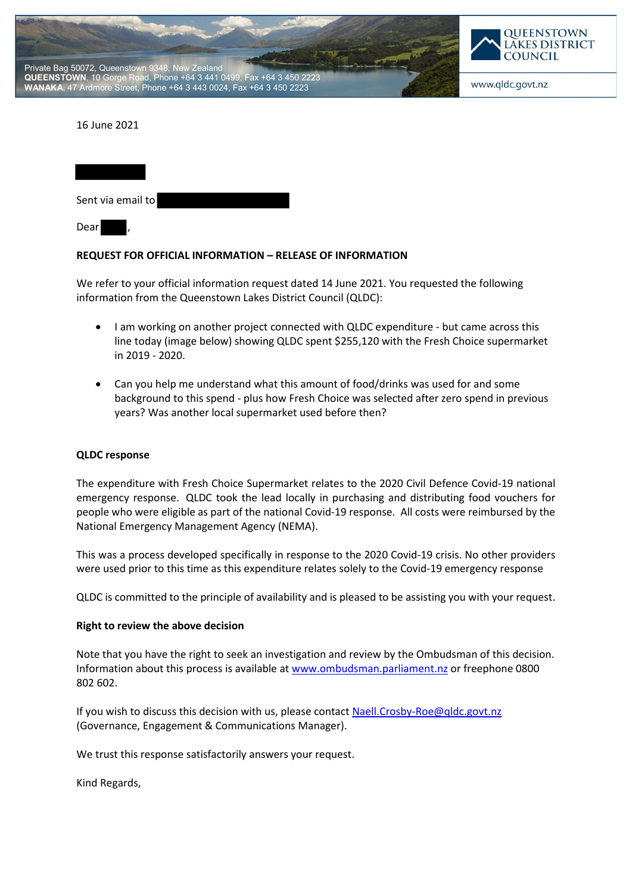



## 16 June 2021

| Sent via email to |  |
|-------------------|--|
| Dear              |  |

## **REQUEST FOR OFFICIAL INFORMATION – RELEASE OF INFORMATION**

We refer to your official information request dated 14 June 2021. You requested the following information from the Queenstown Lakes District Council (QLDC):

- I am working on another project connected with QLDC expenditure but came across this line today (image below) showing QLDC spent \$255,120 with the Fresh Choice supermarket in 2019 - 2020.
- Can you help me understand what this amount of food/drinks was used for and some background to this spend - plus how Fresh Choice was selected after zero spend in previous years? Was another local supermarket used before then?

## **QLDC response**

The expenditure with Fresh Choice Supermarket relates to the 2020 Civil Defence Covid-19 national emergency response. QLDC took the lead locally in purchasing and distributing food vouchers for people who were eligible as part of the national Covid-19 response. All costs were reimbursed by the National Emergency Management Agency (NEMA).

This was a process developed specifically in response to the 2020 Covid-19 crisis. No other providers were used prior to this time as this expenditure relates solely to the Covid-19 emergency response

QLDC is committed to the principle of availability and is pleased to be assisting you with your request.

## **Right to review the above decision**

Note that you have the right to seek an investigation and review by the Ombudsman of this decision. Information about this process is available at www.ombudsman.parliament.nz or freephone 0800 802 602.

If you wish to discuss this decision with us, please contact Naell.Crosby-Roe@qldc.govt.nz (Governance, Engagement & Communications Manager).

We trust this response satisfactorily answers your request.

Kind Regards,